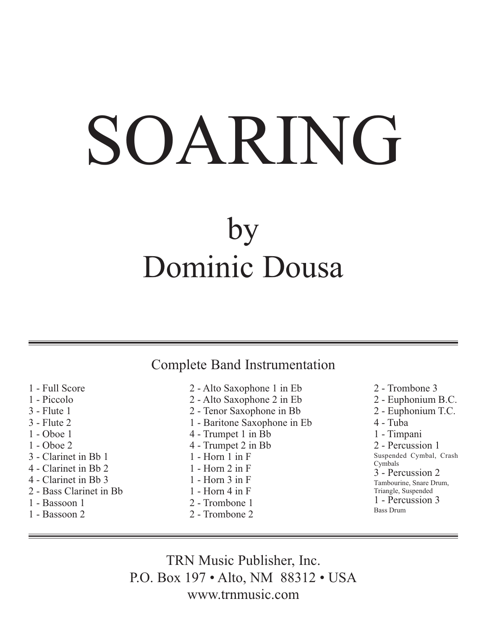## SOARING by Dominic Dousa

## Complete Band Instrumentation

- 1 Full Score
- 1 Piccolo
- 3 Flute 1
- 3 Flute 2
- 1 Oboe 1
- 1 Oboe 2
- 3 Clarinet in Bb 1
- 4 Clarinet in Bb 2
- 4 Clarinet in Bb 3
- 2 Bass Clarinet in Bb
- 1 Bassoon 1
- 1 Bassoon 2
- 2 Alto Saxophone 1 in Eb
- 2 Alto Saxophone 2 in Eb
- 2 Tenor Saxophone in Bb
- 1 Baritone Saxophone in Eb
- 4 Trumpet 1 in Bb
- 4 Trumpet 2 in Bb
- 1 Horn 1 in F
- 1 Horn 2 in F
- 1 Horn 3 in F
- 1 Horn 4 in F
- 2 Trombone 1
- 2 Trombone 2
- 2 Trombone 3
- 2 Euphonium B.C.
- 2 Euphonium T.C.
- 4 Tuba
- 1 Timpani
- 2 Percussion 1

Suspended Cymbal, Crash Cymbals 3 - Percussion 2 Tambourine, Snare Drum, Triangle, Suspended 1 - Percussion 3

Bass Drum

TRN Music Publisher, Inc. P.O. Box 197 • Alto, NM 88312 • USA www.trnmusic.com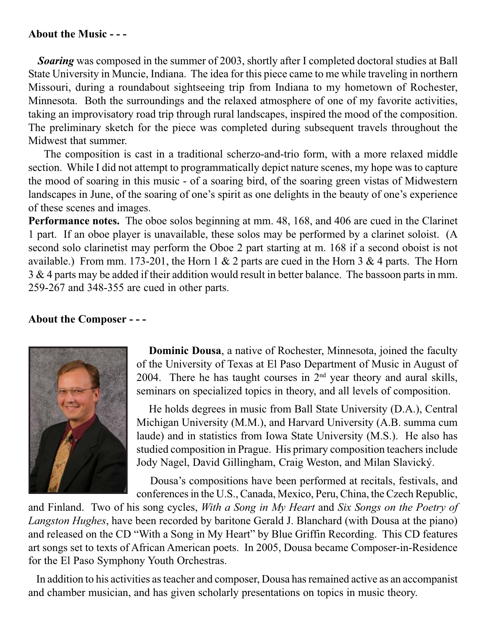## **About the Music - - -**

**Soaring** was composed in the summer of 2003, shortly after I completed doctoral studies at Ball State University in Muncie, Indiana. The idea for this piece came to me while traveling in northern Missouri, during a roundabout sightseeing trip from Indiana to my hometown of Rochester, Minnesota. Both the surroundings and the relaxed atmosphere of one of my favorite activities, taking an improvisatory road trip through rural landscapes, inspired the mood of the composition. The preliminary sketch for the piece was completed during subsequent travels throughout the Midwest that summer.

 The composition is cast in a traditional scherzo-and-trio form, with a more relaxed middle section. While I did not attempt to programmatically depict nature scenes, my hope was to capture the mood of soaring in this music - of a soaring bird, of the soaring green vistas of Midwestern landscapes in June, of the soaring of one's spirit as one delights in the beauty of one's experience of these scenes and images.

**Performance notes.** The oboe solos beginning at mm. 48, 168, and 406 are cued in the Clarinet 1 part. If an oboe player is unavailable, these solos may be performed by a clarinet soloist. (A second solo clarinetist may perform the Oboe 2 part starting at m. 168 if a second oboist is not available.) From mm. 173-201, the Horn 1 & 2 parts are cued in the Horn 3 & 4 parts. The Horn 3 & 4 parts may be added if their addition would result in better balance. The bassoon parts in mm. 259-267 and 348-355 are cued in other parts.

## **About the Composer - - -**



 **Dominic Dousa**, a native of Rochester, Minnesota, joined the faculty of the University of Texas at El Paso Department of Music in August of 2004. There he has taught courses in  $2<sup>nd</sup>$  year theory and aural skills, seminars on specialized topics in theory, and all levels of composition.

 He holds degrees in music from Ball State University (D.A.), Central Michigan University (M.M.), and Harvard University (A.B. summa cum laude) and in statistics from Iowa State University (M.S.). He also has studied composition in Prague. His primary composition teachers include Jody Nagel, David Gillingham, Craig Weston, and Milan Slavický.

 Dousa's compositions have been performed at recitals, festivals, and conferences in the U.S., Canada, Mexico, Peru, China, the Czech Republic,

and Finland. Two of his song cycles, *With a Song in My Heart* and *Six Songs on the Poetry of Langston Hughes*, have been recorded by baritone Gerald J. Blanchard (with Dousa at the piano) and released on the CD "With a Song in My Heart" by Blue Griffin Recording. This CD features art songs set to texts of African American poets. In 2005, Dousa became Composer-in-Residence for the El Paso Symphony Youth Orchestras.

 In addition to his activities as teacher and composer, Dousa has remained active as an accompanist and chamber musician, and has given scholarly presentations on topics in music theory.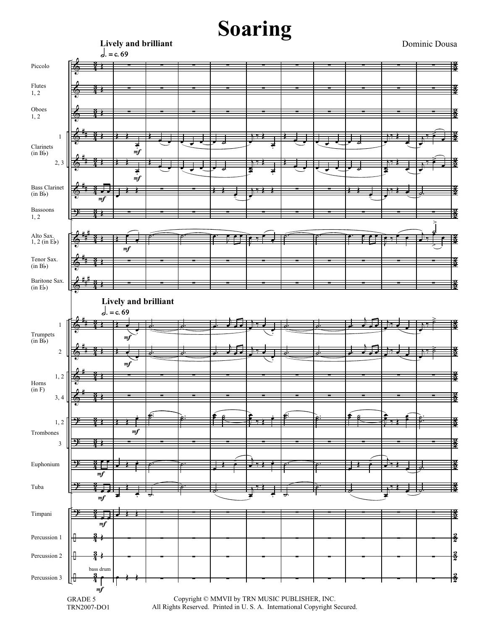

All Rights Reserved. Printed in U. S. A. International Copyright Secured.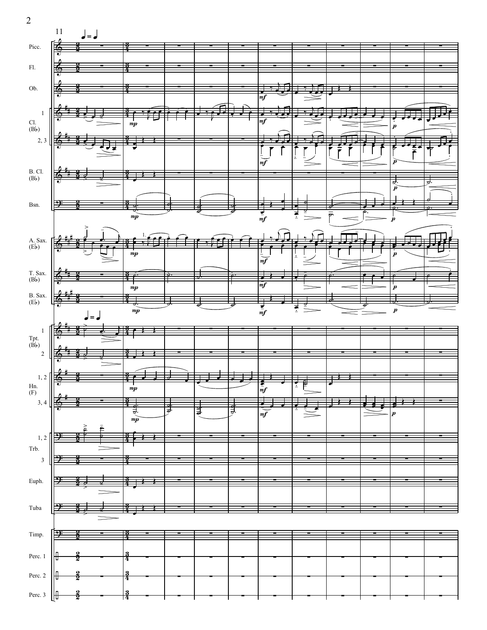

 $\sqrt{2}$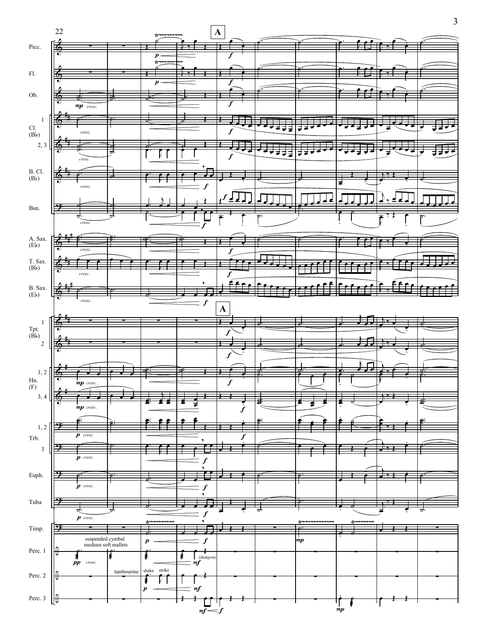